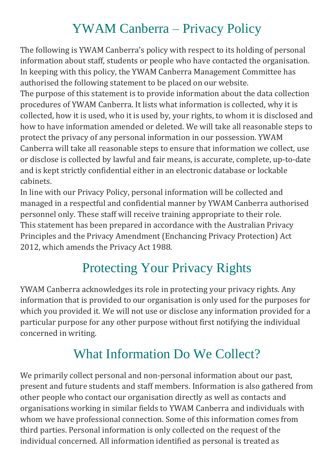### YWAM Canberra – Privacy Policy

The following is YWAM Canberra's policy with respect to its holding of personal information about staff, students or people who have contacted the organisation. In keeping with this policy, the YWAM Canberra Management Committee has authorised the following statement to be placed on our website.

The purpose of this statement is to provide information about the data collection procedures of YWAM Canberra. It lists what information is collected, why it is collected, how it is used, who it is used by, your rights, to whom it is disclosed and how to have information amended or deleted. We will take all reasonable steps to protect the privacy of any personal information in our possession. YWAM Canberra will take all reasonable steps to ensure that information we collect, use or disclose is collected by lawful and fair means, is accurate, complete, up-to-date and is kept strictly confidential either in an electronic database or lockable cabinets.

In line with our Privacy Policy, personal information will be collected and managed in a respectful and confidential manner by YWAM Canberra authorised personnel only. These staff will receive training appropriate to their role. This statement has been prepared in accordance with the Australian Privacy Principles and the Privacy Amendment (Enchancing Privacy Protection) Act 2012, which amends the Privacy Act 1988.

### Protecting Your Privacy Rights

YWAM Canberra acknowledges its role in protecting your privacy rights. Any information that is provided to our organisation is only used for the purposes for which you provided it. We will not use or disclose any information provided for a particular purpose for any other purpose without first notifying the individual concerned in writing.

### What Information Do We Collect?

We primarily collect personal and non-personal information about our past, present and future students and staff members. Information is also gathered from other people who contact our organisation directly as well as contacts and organisations working in similar fields to YWAM Canberra and individuals with whom we have professional connection. Some of this information comes from third parties. Personal information is only collected on the request of the individual concerned. All information identified as personal is treated as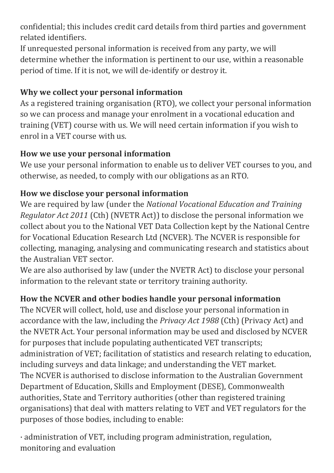confidential; this includes credit card details from third parties and government related identifiers.

If unrequested personal information is received from any party, we will determine whether the information is pertinent to our use, within a reasonable period of time. If it is not, we will de-identify or destroy it.

#### **Why we collect your personal information**

As a registered training organisation (RTO), we collect your personal information so we can process and manage your enrolment in a vocational education and training (VET) course with us. We will need certain information if you wish to enrol in a VET course with us.

#### **How we use your personal information**

We use your personal information to enable us to deliver VET courses to you, and otherwise, as needed, to comply with our obligations as an RTO.

### **How we disclose your personal information**

We are required by law (under the *National Vocational Education and Training Regulator Act 2011* (Cth) (NVETR Act)) to disclose the personal information we collect about you to the National VET Data Collection kept by the National Centre for Vocational Education Research Ltd (NCVER). The NCVER is responsible for collecting, managing, analysing and communicating research and statistics about the Australian VET sector.

We are also authorised by law (under the NVETR Act) to disclose your personal information to the relevant state or territory training authority.

### **How the NCVER and other bodies handle your personal information**

The NCVER will collect, hold, use and disclose your personal information in accordance with the law, including the *Privacy Act 1988* (Cth) (Privacy Act) and the NVETR Act. Your personal information may be used and disclosed by NCVER for purposes that include populating authenticated VET transcripts; administration of VET; facilitation of statistics and research relating to education, including surveys and data linkage; and understanding the VET market. The NCVER is authorised to disclose information to the Australian Government Department of Education, Skills and Employment (DESE), Commonwealth authorities, State and Territory authorities (other than registered training organisations) that deal with matters relating to VET and VET regulators for the purposes of those bodies, including to enable:

· administration of VET, including program administration, regulation, monitoring and evaluation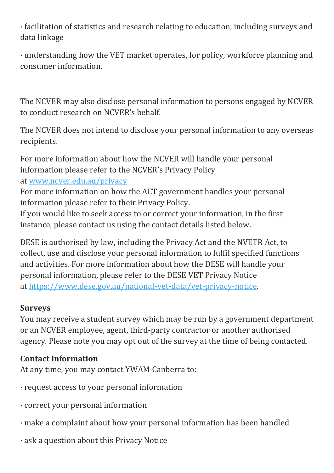· facilitation of statistics and research relating to education, including surveys and data linkage

· understanding how the VET market operates, for policy, workforce planning and consumer information.

The NCVER may also disclose personal information to persons engaged by NCVER to conduct research on NCVER's behalf.

The NCVER does not intend to disclose your personal information to any overseas recipients.

For more information about how the NCVER will handle your personal information please refer to the NCVER's Privacy Policy at [www.ncver.edu.au/privacy](http://www.ncver.edu.au/privacy)

For more information on how the ACT government handles your personal information please refer to their Privacy Policy.

If you would like to seek access to or correct your information, in the first instance, please contact us using the contact details listed below.

DESE is authorised by law, including the Privacy Act and the NVETR Act, to collect, use and disclose your personal information to fulfil specified functions and activities. For more information about how the DESE will handle your personal information, please refer to the DESE VET Privacy Notice at [https://www.dese.gov.au/national-vet-data/vet-privacy-notice.](https://www.dese.gov.au/national-vet-data/vet-privacy-notice)

#### **Surveys**

You may receive a student survey which may be run by a government department or an NCVER employee, agent, third-party contractor or another authorised agency. Please note you may opt out of the survey at the time of being contacted.

#### **Contact information**

At any time, you may contact YWAM Canberra to:

- · request access to your personal information
- · correct your personal information
- · make a complaint about how your personal information has been handled
- · ask a question about this Privacy Notice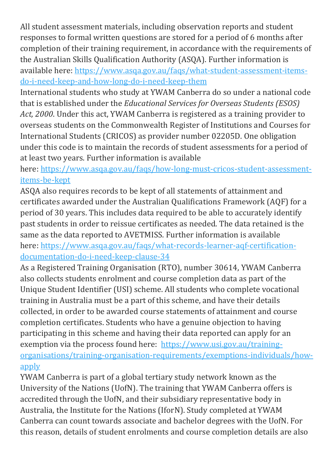All student assessment materials, including observation reports and student responses to formal written questions are stored for a period of 6 months after completion of their training requirement, in accordance with the requirements of the Australian Skills Qualification Authority (ASQA). Further information is available here: [https://www.asqa.gov.au/faqs/what-student-assessment-items](https://www.asqa.gov.au/faqs/what-student-assessment-items-do-i-need-keep-and-how-long-do-i-need-keep-them)[do-i-need-keep-and-how-long-do-i-need-keep-them](https://www.asqa.gov.au/faqs/what-student-assessment-items-do-i-need-keep-and-how-long-do-i-need-keep-them)

International students who study at YWAM Canberra do so under a national code that is established under the *Educational Services for Overseas Students (ESOS) Act, 2000*. Under this act, YWAM Canberra is registered as a training provider to overseas students on the Commonwealth Register of Institutions and Courses for International Students (CRICOS) as provider number 02205D. One obligation under this code is to maintain the records of student assessments for a period of at least two years. Further information is available

#### here: [https://www.asqa.gov.au/faqs/how-long-must-cricos-student-assessment](https://www.asqa.gov.au/faqs/how-long-must-cricos-student-assessment-items-be-kept)[items-be-kept](https://www.asqa.gov.au/faqs/how-long-must-cricos-student-assessment-items-be-kept)

ASQA also requires records to be kept of all statements of attainment and certificates awarded under the Australian Qualifications Framework (AQF) for a period of 30 years. This includes data required to be able to accurately identify past students in order to reissue certificates as needed. The data retained is the same as the data reported to AVETMISS. Further information is available here: [https://www.asqa.gov.au/faqs/what-records-learner-aqf-certification](https://www.asqa.gov.au/faqs/what-records-learner-aqf-certification-documentation-do-i-need-keep-clause-34)[documentation-do-i-need-keep-clause-34](https://www.asqa.gov.au/faqs/what-records-learner-aqf-certification-documentation-do-i-need-keep-clause-34)

As a Registered Training Organisation (RTO), number 30614, YWAM Canberra also collects students enrolment and course completion data as part of the Unique Student Identifier (USI) scheme. All students who complete vocational training in Australia must be a part of this scheme, and have their details collected, in order to be awarded course statements of attainment and course completion certificates. Students who have a genuine objection to having participating in this scheme and having their data reported can apply for an exemption via the process found here: [https://www.usi.gov.au/training](https://www.usi.gov.au/training-organisations/training-organisation-requirements/exemptions-individuals/how-apply)[organisations/training-organisation-requirements/exemptions-individuals/how](https://www.usi.gov.au/training-organisations/training-organisation-requirements/exemptions-individuals/how-apply)[apply](https://www.usi.gov.au/training-organisations/training-organisation-requirements/exemptions-individuals/how-apply)

YWAM Canberra is part of a global tertiary study network known as the University of the Nations (UofN). The training that YWAM Canberra offers is accredited through the UofN, and their subsidiary representative body in Australia, the Institute for the Nations (IforN). Study completed at YWAM Canberra can count towards associate and bachelor degrees with the UofN. For this reason, details of student enrolments and course completion details are also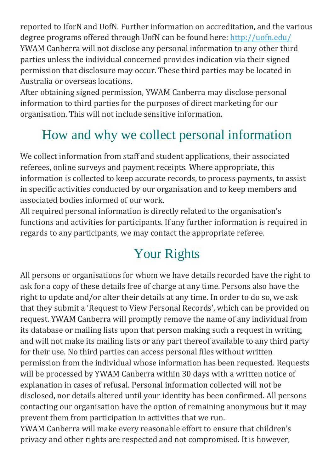reported to IforN and UofN. Further information on accreditation, and the various degree programs offered through UofN can be found here: <http://uofn.edu/> YWAM Canberra will not disclose any personal information to any other third parties unless the individual concerned provides indication via their signed permission that disclosure may occur. These third parties may be located in Australia or overseas locations.

After obtaining signed permission, YWAM Canberra may disclose personal information to third parties for the purposes of direct marketing for our organisation. This will not include sensitive information.

# How and why we collect personal information

We collect information from staff and student applications, their associated referees, online surveys and payment receipts. Where appropriate, this information is collected to keep accurate records, to process payments, to assist in specific activities conducted by our organisation and to keep members and associated bodies informed of our work.

All required personal information is directly related to the organisation's functions and activities for participants. If any further information is required in regards to any participants, we may contact the appropriate referee.

## Your Rights

All persons or organisations for whom we have details recorded have the right to ask for a copy of these details free of charge at any time. Persons also have the right to update and/or alter their details at any time. In order to do so, we ask that they submit a 'Request to View Personal Records', which can be provided on request. YWAM Canberra will promptly remove the name of any individual from its database or mailing lists upon that person making such a request in writing, and will not make its mailing lists or any part thereof available to any third party for their use. No third parties can access personal files without written permission from the individual whose information has been requested. Requests will be processed by YWAM Canberra within 30 days with a written notice of explanation in cases of refusal. Personal information collected will not be disclosed, nor details altered until your identity has been confirmed. All persons contacting our organisation have the option of remaining anonymous but it may prevent them from participation in activities that we run.

YWAM Canberra will make every reasonable effort to ensure that children's privacy and other rights are respected and not compromised. It is however,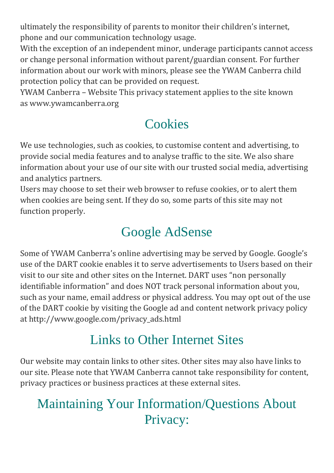ultimately the responsibility of parents to monitor their children's internet, phone and our communication technology usage.

With the exception of an independent minor, underage participants cannot access or change personal information without parent/guardian consent. For further information about our work with minors, please see the YWAM Canberra child protection policy that can be provided on request.

YWAM Canberra – Website This privacy statement applies to the site known as www.ywamcanberra.org

## **Cookies**

We use technologies, such as cookies, to customise content and advertising, to provide social media features and to analyse traffic to the site. We also share information about your use of our site with our trusted social media, advertising and analytics partners.

Users may choose to set their web browser to refuse cookies, or to alert them when cookies are being sent. If they do so, some parts of this site may not function properly.

## Google AdSense

Some of YWAM Canberra's online advertising may be served by Google. Google's use of the DART cookie enables it to serve advertisements to Users based on their visit to our site and other sites on the Internet. DART uses "non personally identifiable information" and does NOT track personal information about you, such as your name, email address or physical address. You may opt out of the use of the DART cookie by visiting the Google ad and content network privacy policy at http://www.google.com/privacy\_ads.html

### Links to Other Internet Sites

Our website may contain links to other sites. Other sites may also have links to our site. Please note that YWAM Canberra cannot take responsibility for content, privacy practices or business practices at these external sites.

### Maintaining Your Information/Questions About Privacy: